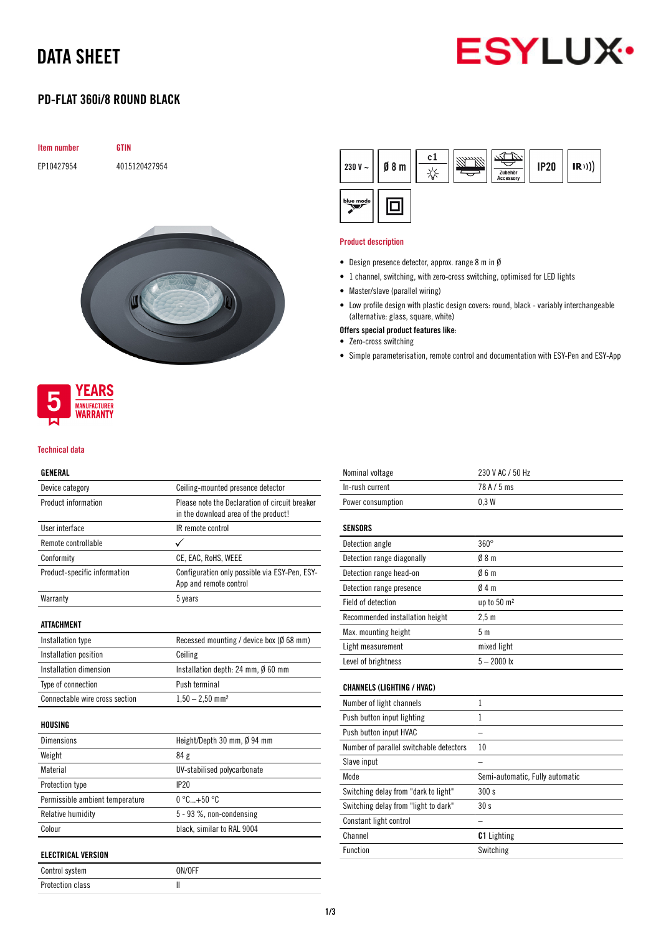# DATA SHEET



## PD-FLAT 360i/8 ROUND BLACK

| <b>Item number</b> | <b>GTIN</b>   |
|--------------------|---------------|
| EP10427954         | 4015120427954 |
|                    |               |
|                    |               |





#### Technical data

### GENERAL

| Device category                 | Ceiling-mounted presence detector                                       |
|---------------------------------|-------------------------------------------------------------------------|
| Product information             | Please note the Declaration of circuit breaker                          |
|                                 | in the download area of the product!                                    |
| User interface                  | IR remote control                                                       |
| Remote controllable             |                                                                         |
| Conformity                      | CE, EAC, RoHS, WEEE                                                     |
| Product-specific information    | Configuration only possible via ESY-Pen, ESY-<br>App and remote control |
| Warranty                        | 5 years                                                                 |
|                                 |                                                                         |
| ATTACHMENT                      |                                                                         |
| Installation type               | Recessed mounting / device box (Ø 68 mm)                                |
| Installation position           | Ceiling                                                                 |
| Installation dimension          | Installation depth: 24 mm, $\emptyset$ 60 mm                            |
| Type of connection              | Push terminal                                                           |
| Connectable wire cross section  | $1,50 - 2,50$ mm <sup>2</sup>                                           |
|                                 |                                                                         |
| HOUSING                         |                                                                         |
| <b>Dimensions</b>               | Height/Depth 30 mm, Ø 94 mm                                             |
| Weight                          | 84 g                                                                    |
| Material                        | UV-stabilised polycarbonate                                             |
| Protection type                 | IP20                                                                    |
| Permissible ambient temperature | $0^{\circ}$ C+50 $^{\circ}$ C                                           |
| <b>Relative humidity</b>        | 5 - 93 %, non-condensing                                                |
| Colour                          | black, similar to RAL 9004                                              |
|                                 |                                                                         |
| <b>ELECTRICAL VERSION</b>       |                                                                         |

Control system ON/OFF Protection class and II

| 230 V $\sim$ | $\emptyset$ 8 m | c1 | Zubehör<br>Accessory | <b>IP20</b> | (R)) |
|--------------|-----------------|----|----------------------|-------------|------|
| blue mode    |                 |    |                      |             |      |

#### Product description

- Design presence detector, approx. range 8 m in Ø
- 1 channel, switching, with zero-cross switching, optimised for LED lights
- Master/slave (parallel wiring)
- Low profile design with plastic design covers: round, black variably interchangeable (alternative: glass, square, white)
- Offers special product features like:
- Zero-cross switching
- Simple parameterisation, remote control and documentation with ESY-Pen and ESY-App

| Function                                | Switching                       |
|-----------------------------------------|---------------------------------|
| Channel                                 | <b>C1</b> Lighting              |
| Constant light control                  |                                 |
| Switching delay from "light to dark"    | 30s                             |
| Switching delay from "dark to light"    | 300 s                           |
| Mode                                    | Semi-automatic, Fully automatic |
| Slave input                             |                                 |
| Number of parallel switchable detectors | 10                              |
| Push button input HVAC                  |                                 |
| Push button input lighting              | $\mathbf{1}$                    |
| Number of light channels                | 1                               |
| <b>CHANNELS (LIGHTING / HVAC)</b>       |                                 |
| Level of brightness                     | $5 - 2000$ lx                   |
| Light measurement                       | mixed light                     |
| Max. mounting height                    | 5 <sub>m</sub>                  |
| Recommended installation height         | 2.5 <sub>m</sub>                |
| Field of detection                      | up to 50 m <sup>2</sup>         |
| Detection range presence                | Ø4 m                            |
| Detection range head-on                 | 06m                             |
| Detection range diagonally              | 08 <sub>m</sub>                 |
| Detection angle                         | $360^\circ$                     |
| <b>SENSORS</b>                          |                                 |
| Power consumption                       | 0.3W                            |
| In-rush current                         | 78 A / 5 ms                     |
| Nominal voltage                         | 230 V AC / 50 Hz                |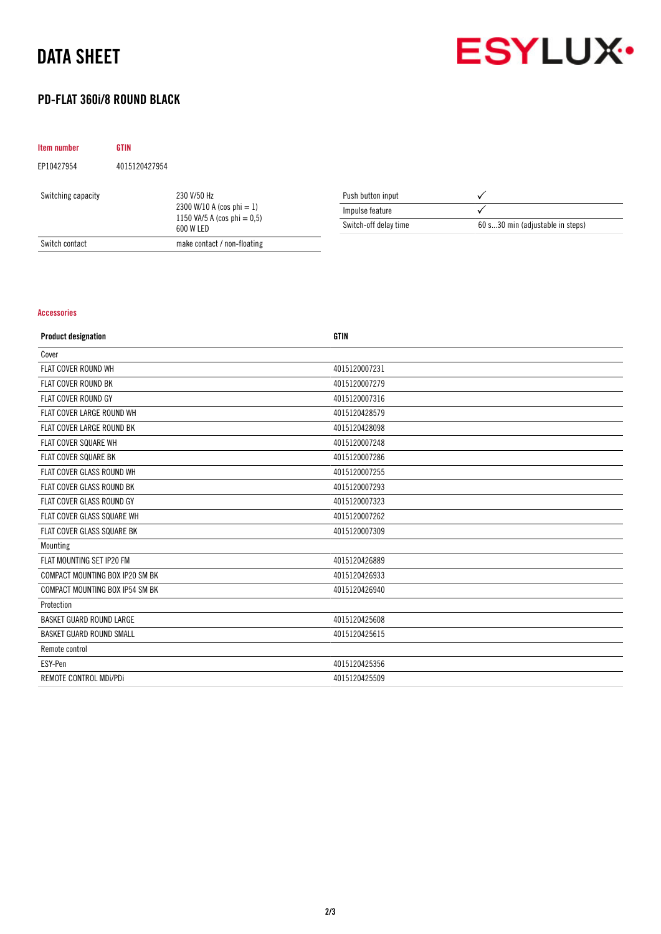## DATA SHEET



## PD-FLAT 360i/8 ROUND BLACK

| Item number                                                                                                      | <b>GTIN</b>       |                             |                       |                                  |
|------------------------------------------------------------------------------------------------------------------|-------------------|-----------------------------|-----------------------|----------------------------------|
| EP10427954                                                                                                       | 4015120427954     |                             |                       |                                  |
| 230 V/50 Hz<br>Switching capacity<br>2300 W/10 A (cos phi $= 1$ )<br>1150 VA/5 A (cos phi $= 0.5$ )<br>600 W LED | Push button input |                             |                       |                                  |
|                                                                                                                  |                   |                             | Impulse feature       |                                  |
|                                                                                                                  |                   |                             | Switch-off delay time | 60 s30 min (adjustable in steps) |
| Switch contact                                                                                                   |                   | make contact / non-floating |                       |                                  |

### Accessories

| <b>Product designation</b>        | <b>GTIN</b>   |
|-----------------------------------|---------------|
| Cover                             |               |
| FLAT COVER ROUND WH               | 4015120007231 |
| <b>FLAT COVER ROUND BK</b>        | 4015120007279 |
| <b>FLAT COVER ROUND GY</b>        | 4015120007316 |
| FLAT COVER LARGE ROUND WH         | 4015120428579 |
| FLAT COVER LARGE ROUND BK         | 4015120428098 |
| <b>FLAT COVER SQUARE WH</b>       | 4015120007248 |
| <b>FLAT COVER SQUARE BK</b>       | 4015120007286 |
| FLAT COVER GLASS ROUND WH         | 4015120007255 |
| FLAT COVER GLASS ROUND BK         | 4015120007293 |
| FLAT COVER GLASS ROUND GY         | 4015120007323 |
| FLAT COVER GLASS SQUARE WH        | 4015120007262 |
| <b>FLAT COVER GLASS SQUARE BK</b> | 4015120007309 |
| Mounting                          |               |
| FLAT MOUNTING SET IP20 FM         | 4015120426889 |
| COMPACT MOUNTING BOX IP20 SM BK   | 4015120426933 |
| COMPACT MOUNTING BOX IP54 SM BK   | 4015120426940 |
| Protection                        |               |
| <b>BASKET GUARD ROUND LARGE</b>   | 4015120425608 |
| <b>BASKET GUARD ROUND SMALL</b>   | 4015120425615 |
| Remote control                    |               |
| ESY-Pen                           | 4015120425356 |
| REMOTE CONTROL MDi/PDi            | 4015120425509 |